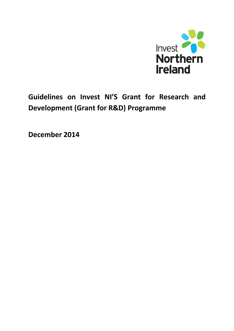

**Guidelines on Invest NI'S Grant for Research and Development (Grant for R&D) Programme** 

**December 2014**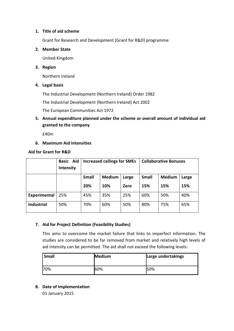## **1. Title of aid scheme**

Grant for Research and Development (Grant for R&D) programme

### **2. Member State**

United Kingdom

## **3. Region**

Northern Ireland

**4. Legal basis**

The Industrial Development (Northern Ireland) Order 1982

The Industrial Development (Northern Ireland) Act 2002

The European Communities Act 1972

**5. Annual expenditure planned under the scheme or overall amount of individual aid granted to the company**

£40m

**6. Maximum Aid Intensities**

#### **Aid for Grant for R&D**

|                   | Aid<br><b>Basic</b><br>Intensity | <b>Increased ceilings for SMEs</b> |               |       | <b>Collaborative Bonuses</b> |               |       |
|-------------------|----------------------------------|------------------------------------|---------------|-------|------------------------------|---------------|-------|
|                   |                                  | Small                              | <b>Medium</b> | Large | Small                        | <b>Medium</b> | Large |
|                   |                                  | 20%                                | 10%           | Zero  | 15%                          | 15%           | 15%   |
| Experimental      | 25%                              | 45%                                | 35%           | 25%   | 60%                          | 50%           | 40%   |
| <b>Industrial</b> | 50%                              | 70%                                | 60%           | 50%   | 80%                          | 75%           | 65%   |

## **7. Aid for Project Definition (Feasibility Studies)**

This aims to overcome the market failure that links to imperfect information. The studies are considered to be far removed from market and relatively high levels of aid intensity can be permitted. The aid shall not exceed the following levels:

| Small | Medium | Large undertakings |
|-------|--------|--------------------|
| 70%   | 60%    | 50%                |

## **8. Date of Implementation**

01 January 2015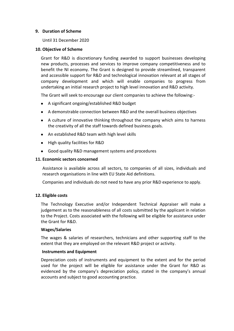### **9. Duration of Scheme**

Until 31 December 2020

## **10. Objective of Scheme**

Grant for R&D is discretionary funding awarded to support businesses developing new products, processes and services to improve company competitiveness and to benefit the NI economy. The Grant is designed to provide streamlined, transparent and accessible support for R&D and technological innovation relevant at all stages of company development and which will enable companies to progress from undertaking an initial research project to high level innovation and R&D activity.

The Grant will seek to encourage our client companies to achieve the following:-

- A significant ongoing/established R&D budget
- A demonstrable connection between R&D and the overall business objectives
- A culture of innovative thinking throughout the company which aims to harness the creativity of all the staff towards defined business goals.
- An established R&D team with high level skills
- High quality facilities for R&D
- Good quality R&D management systems and procedures

## **11. Economic sectors concerned**

Assistance is available across all sectors, to companies of all sizes, individuals and research organisations in line with EU State Aid definitions.

Companies and individuals do not need to have any prior R&D experience to apply.

## **12. Eligible costs**

The Technology Executive and/or Independent Technical Appraiser will make a judgement as to the reasonableness of all costs submitted by the applicant in relation to the Project. Costs associated with the following will be eligible for assistance under the Grant for R&D.

## **Wages/Salaries**

The wages & salaries of researchers, technicians and other supporting staff to the extent that they are employed on the relevant R&D project or activity.

#### **Instruments and Equipment**

Depreciation costs of instruments and equipment to the extent and for the period used for the project will be eligible for assistance under the Grant for R&D as evidenced by the company's depreciation policy, stated in the company's annual accounts and subject to good accounting practice.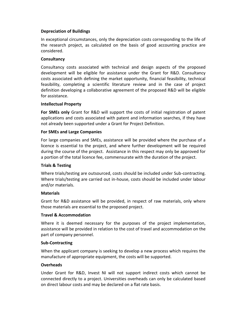## **Depreciation of Buildings**

In exceptional circumstances, only the depreciation costs corresponding to the life of the research project, as calculated on the basis of good accounting practice are considered.

### **Consultancy**

Consultancy costs associated with technical and design aspects of the proposed development will be eligible for assistance under the Grant for R&D. Consultancy costs associated with defining the market opportunity, financial feasibility, technical feasibility, completing a scientific literature review and in the case of project definition developing a collaborative agreement of the proposed R&D will be eligible for assistance.

#### **Intellectual Property**

**For SMEs only** Grant for R&D will support the costs of initial registration of patent applications and costs associated with patent and information searches, if they have not already been supported under a Grant for Project Definition.

#### **For SMEs and Large Companies**

For large companies and SMEs, assistance will be provided where the purchase of a licence is essential to the project, and where further development will be required during the course of the project. Assistance in this respect may only be approved for a portion of the total licence fee, commensurate with the duration of the project.

## **Trials & Testing**

Where trials/testing are outsourced, costs should be included under Sub-contracting. Where trials/testing are carried out in-house, costs should be included under labour and/or materials.

#### **Materials**

Grant for R&D assistance will be provided, in respect of raw materials, only where those materials are essential to the proposed project.

#### **Travel & Accommodation**

Where it is deemed necessary for the purposes of the project implementation, assistance will be provided in relation to the cost of travel and accommodation on the part of company personnel.

#### **Sub-Contracting**

When the applicant company is seeking to develop a new process which requires the manufacture of appropriate equipment, the costs will be supported.

## **Overheads**

Under Grant for R&D, Invest NI will not support indirect costs which cannot be connected directly to a project. Universities overheads can only be calculated based on direct labour costs and may be declared on a flat rate basis.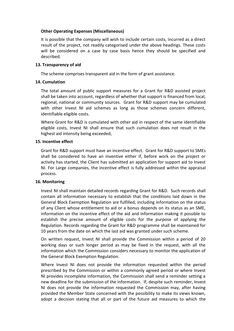## **Other Operating Expenses (Miscellaneous)**

It is possible that the company will wish to include certain costs, incurred as a direct result of the project, not readily categorised under the above headings. These costs will be considered on a case by case basis hence they should be specified and described.

### **13. Transparency of aid**

The scheme comprises transparent aid in the form of grant assistance.

## **14. Cumulation**

The total amount of public support measures for a Grant for R&D assisted project shall be taken into account, regardless of whether that support is financed from local, regional, national or community sources. Grant for R&D support may be cumulated with other Invest NI aid schemes as long as those schemes concern different, identifiable eligible costs.

Where Grant for R&D is cumulated with other aid in respect of the same identifiable eligible costs, Invest NI shall ensure that such cumulation does not result in the highest aid intensity being exceeded,

## **15. Incentive effect**

Grant for R&D support must have an incentive effect. Grant for R&D support to SMEs shall be considered to have an inventive either if, before work on the project or activity has started, the Client has submitted an application for support aid to Invest NI. For Large companies, the incentive effect is fully addressed within the appraisal process.

#### **16. Monitoring**

Invest NI shall maintain detailed records regarding Grant for R&D. Such records shall contain all information necessary to establish that the conditions laid down in the General Block Exemption Regulation are fulfilled, including information on the status of any Client whose entitlement to aid or a bonus depends on its status as an SME, information on the incentive effect of the aid and information making it possible to establish the precise amount of eligible costs for the purpose of applying the Regulation. Records regarding the Grant for R&D programme shall be maintained for 10 years from the date on which the last aid was granted under such scheme.

On written request, Invest NI shall provide the Commission within a period of 20 working days or such longer period as may be fixed in the request, with all the information which the Commission considers necessary to monitor the application of the General Block Exemption Regulation.

Where Invest NI does not provide the information requested within the period prescribed by the Commission or within a commonly agreed period or where Invest NI provides incomplete information, the Commission shall send a reminder setting a new deadline for the submission of the information. If, despite such reminder, Invest NI does not provide the information requested the Commission may, after having provided the Member State concerned with the possibility to make its views known, adopt a decision stating that all or part of the future aid measures to which the